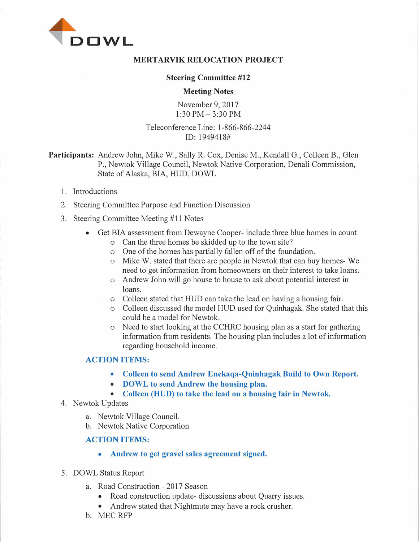

### **MERTARVIK RELOCATION PROJECT**

#### **Steering Committee #12**

#### **Meeting Notes**

November 9, 2017 l:30PM-3:30PM

## Teleconference Line: 1-866-866-2244 ID: 1949418#

**Participants:** Andrew John, Mike W., Sally R. Cox, Denise M., Kendall G., Colleen B., Glen P., Newtok Village Council, Newtok Native Corporation, Denali Commission, State of Alaska, BIA, HUD, DOWL

- 1. Introductions
- 2. Steering Committee Purpose and Function Discussion
- 3. Steering Committee Meeting #11 Notes
	- Get BIA assessment from Dewayne Cooper- include three blue homes in count
		- o Can the three homes be skidded up to the town site?
		- o One of the homes has partially fallen off of the foundation.
		- o Mike W. stated that there are people in Newtok that can buy homes- We need to get information from homeowners on their interest to take loans.
		- o Andrew John will go house to house to ask about potential interest in loans.
		- o Colleen stated that HUD can take the lead on having a housing fair.
		- o Colleen discussed the model HUD used for Quinhagak. She stated that this could be a model for Newtok.
		- $\circ$  Need to start looking at the CCHRC housing plan as a start for gathering information from residents. The housing plan includes a lot of information regarding household income.

## **ACTION ITEMS:**

- **• Colleen to send Andrew Enekaqa-Quinhagak Build to Own Report.**
- **• DOWL to send Andrew the housing plan.**
- **• Colleen (HUD) to take the lead on a housing fair in Newtok.**
- 4. Newtok Updates
	- a. Newtok Village Council.
	- b. Newtok Native Corporation

### **ACTION ITEMS:**

- **• Andrew to get gravel sales agreement signed.**
- 5. DOWL Status Report
	- a. Road Construction 2017 Season
		- Road construction update-discussions about Quarry issues.
		- Andrew stated that Nightmute may have a rock crusher.
	- b. MECRFP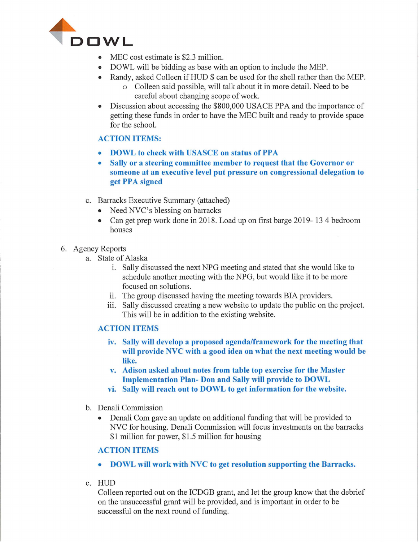

- MEC cost estimate is \$2.3 million.
- DOWL will be bidding as base with an option to include the MEP.
- Randy, asked Colleen if HUD \$ can be used for the shell rather than the MEP. o Colleen said possible, will talk about it in more detail. Need to be careful about changing scope of work.
- Discussion about accessing the \$800,000 USACE PPA and the importance of getting these funds in order to have the MEC built and ready to provide space for the school.

## **ACTION ITEMS:**

- **DOWL** to check with USASCE on status of PPA
- **Sally or a steering committee member to request that the Governor or someone at an executive level put pressure on congressional delegation to**  get PPA signed
- c. Barracks Executive Summary (attached)
	- Need NVC's blessing on barracks
	- Can get prep work done in 2018. Load up on first barge 2019- 13 4 bedroom houses

## 6. Agency Reports

- a. State of Alaska
	- 1. Sally discussed the next NPG meeting and stated that she would like to schedule another meeting with the NPG, but would like it to be more focused on solutions.
	- ii. The group discussed having the meeting towards BIA providers.
	- iii. Sally discussed creating a new website to update the public on the project. This will be in addition to the existing website.

## **ACTION ITEMS**

- **iv. Sally will develop a proposed agenda/framework for the meeting that will provide NVC with a good idea on what the next meeting would be like.**
- **v. Adison asked about notes from table top exercise for the Master Implementation Plan- Don and Sally will provide to DOWL**
- **vi. Sally will reach out to DOWL to get information for the website.**
- b. Denali Commission
	- Denali Com gave an update on additional funding that will be provided to NVC for housing. Denali Commission will focus investments on the barracks \$1 million for power, \$1.5 million for housing

## **ACTION ITEMS**

- **DOWL will work with NVC to get resolution supporting the Barracks.**
- C. HUD

Colleen reported out on the ICDGB grant, and let the group know that the debrief on the unsuccessful grant will be provided, and is important in order to be successful on the next round of funding.